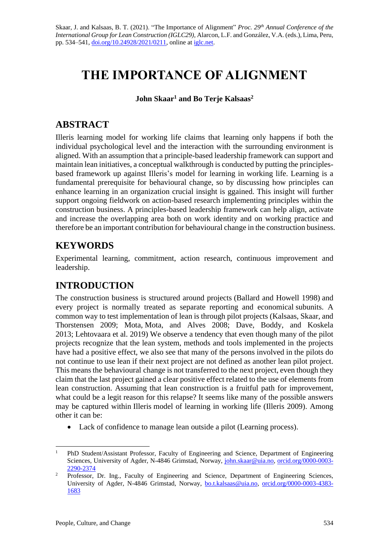Skaar, J. and Kalsaas, B. T. (2021). "The Importance of Alignment" *Proc. 29 th Annual Conference of the International Group for Lean Construction (IGLC29),* Alarcon, L.F. and González, V.A. (eds.)*,* Lima, Peru, pp. 534–541, [doi.org/10.24928/2021/0211,](https://doi.org/10.24928/2021/0211) online a[t iglc.net.](http://iglc.net/)

# **THE IMPORTANCE OF ALIGNMENT**

**John Skaar<sup>1</sup> and Bo Terje Kalsaas<sup>2</sup>**

### **ABSTRACT**

Illeris learning model for working life claims that learning only happens if both the individual psychological level and the interaction with the surrounding environment is aligned. With an assumption that a principle-based leadership framework can support and maintain lean initiatives, a conceptual walkthrough is conducted by putting the principlesbased framework up against Illeris's model for learning in working life. Learning is a fundamental prerequisite for behavioural change, so by discussing how principles can enhance learning in an organization crucial insight is ggained. This insight will further support ongoing fieldwork on action-based research implementing principles within the construction business. A principles-based leadership framework can help align, activate and increase the overlapping area both on work identity and on working practice and therefore be an important contribution for behavioural change in the construction business.

### **KEYWORDS**

Experimental learning, commitment, action research, continuous improvement and leadership.

# **INTRODUCTION**

The construction business is structured around projects [\(Ballard and Howell 1998\)](https://paperpile.com/c/dkXo2D/Gi0RF) and every project is normally treated as separate reporting and economical subunits. A common way to test implementation of lean is through pilot projects [\(Kalsaas, Skaar, and](https://paperpile.com/c/dkXo2D/jq84m+8avJD+cOhWx+RBJdN)  Thorstensen 2009; Mota, [Mota, and Alves 2008; Dave, Boddy, and Koskela](https://paperpile.com/c/dkXo2D/jq84m+8avJD+cOhWx+RBJdN) 2013; Lehtovaara [et al. 2019\)](https://paperpile.com/c/dkXo2D/jq84m+8avJD+cOhWx+RBJdN) We observe a tendency that even though many of the pilot projects recognize that the lean system, methods and tools implemented in the projects have had a positive effect, we also see that many of the persons involved in the pilots do not continue to use lean if their next project are not defined as another lean pilot project. This means the behavioural change is not transferred to the next project, even though they claim that the last project gained a clear positive effect related to the use of elements from lean construction. Assuming that lean construction is a fruitful path for improvement, what could be a legit reason for this relapse? It seems like many of the possible answers may be captured within Illeris model of learning in working life (Illeris 2009). Among other it can be:

• Lack of confidence to manage lean outside a pilot (Learning process).

<sup>&</sup>lt;sup>1</sup> PhD Student/Assistant Professor, Faculty of Engineering and Science, Department of Engineering Sciences, University of Agder, N-4846 Grimstad, Norway, [john.skaar@uia.no,](mailto:john.skaar@uia.no) [orcid.org/0000-0003-](https://orcid.org/0000-0003-%202290-2374) [2290-2374](https://orcid.org/0000-0003-%202290-2374)

<sup>&</sup>lt;sup>2</sup> Professor, Dr. Ing., Faculty of Engineering and Science, Department of Engineering Sciences, University of Agder, N-4846 Grimstad, Norway, [bo.t.kalsaas@uia.no,](mailto:bo.t.kalsaas@uia.no) [orcid.org/0000-0003-4383-](https://orcid.org/0000-0003-4383-1683) [1683](https://orcid.org/0000-0003-4383-1683)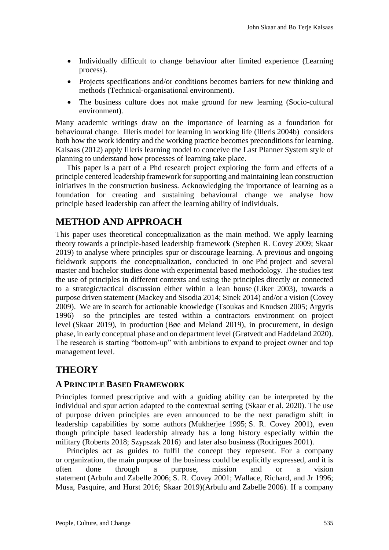- Individually difficult to change behaviour after limited experience (Learning process).
- Projects specifications and/or conditions becomes barriers for new thinking and methods (Technical-organisational environment).
- The business culture does not make ground for new learning (Socio-cultural environment).

Many academic writings draw on the importance of learning as a foundation for behavioural change. Illeris model for learning in working life (Illeris [2004b\)](https://paperpile.com/c/dkXo2D/s5s0w) considers both how the work identity and the working practice becomes preconditions for learning. Kalsaas (2012) apply Illeris learning model to conceive the Last Planner System style of planning to understand how processes of learning take place.

This paper is a part of a Phd research project exploring the form and effects of a principle centered leadership framework for supporting and maintaining lean construction initiatives in the construction business. Acknowledging the importance of learning as a foundation for creating and sustaining behavioural change we analyse how principle based leadership can affect the learning ability of individuals.

# **METHOD AND APPROACH**

This paper uses theoretical conceptualization as the main method. We apply learning theory towards a principle-based leadership framework [\(Stephen R. Covey 2009; Skaar](https://paperpile.com/c/dkXo2D/HaTUh+2yfXH)  [2019\)](https://paperpile.com/c/dkXo2D/HaTUh+2yfXH) to analyse where principles spur or discourage learning. A previous and ongoing fieldwork supports the conceptualization, conducted in one Phd project and several master and bachelor studies done with experimental based methodology. The studies test the use of principles in different contexts and using the principles directly or connected to a strategic/tactical discussion either within a lean house [\(Liker 2003\),](https://paperpile.com/c/dkXo2D/2Op82) towards a purpose driven statement [\(Mackey and Sisodia 2014; Sinek 2014\)](https://paperpile.com/c/dkXo2D/DnM5n+OS73n) and/or a vision [\(Covey](https://paperpile.com/c/dkXo2D/HaTUh)  [2009\).](https://paperpile.com/c/dkXo2D/HaTUh) We are in search for actionable knowledge (Tsoukas [and Knudsen 2005; Argyris](https://paperpile.com/c/dkXo2D/sKL0V+zpwNb)  [1996\)](https://paperpile.com/c/dkXo2D/sKL0V+zpwNb) so the principles are tested within a contractors environment on project level [\(Skaar 2019\),](https://paperpile.com/c/dkXo2D/2yfXH) in production [\(Bøe and Meland 2019\),](https://paperpile.com/c/dkXo2D/1epyQ) in procurement, in design phase, in early conceptual phase and on department level (Grøtvedt and Haddeland 2020). The research is starting "bottom-up" with ambitions to expand to project owner and top management level.

# **THEORY**

### **A PRINCIPLE BASED FRAMEWORK**

Principles formed prescriptive and with a guiding ability can be interpreted by the individual and spur action adapted to the contextual setting [\(Skaar et al. 2020\).](https://paperpile.com/c/dkXo2D/4cOOH) The use of purpose driven principles are even announced to be the next paradigm shift in leadership capabilities by some authors (Mukherjee 1995; [S. R. Covey 2001\),](https://paperpile.com/c/dkXo2D/yDN0K+HaTUh) even though principle based leadership already has a long history especially within the military [\(Roberts 2018;](https://paperpile.com/c/dkXo2D/z06n7+Ym1pq) Szypszak 2016) and later also business [\(Rodrigues 2001\).](https://paperpile.com/c/dkXo2D/Ya8we)

Principles act as guides to fulfil the concept they represent. For a company or organization, the main purpose of the business could be explicitly expressed, and it is often done through a purpose, mission and or a vision statement (Arbulu and Zabelle 2006; [S. R. Covey 2001; Wallace, Richard, and Jr 1996;](https://paperpile.com/c/dkXo2D/HaTUh+63TSo+gRkdD+2yfXH)  [Musa, Pasquire, and Hurst 2016; Skaar 2019\)](https://paperpile.com/c/dkXo2D/HaTUh+63TSo+gRkdD+2yfXH)[\(Arbulu](https://paperpile.com/c/dkXo2D/Z7AC9) and Zabelle 2006). If a company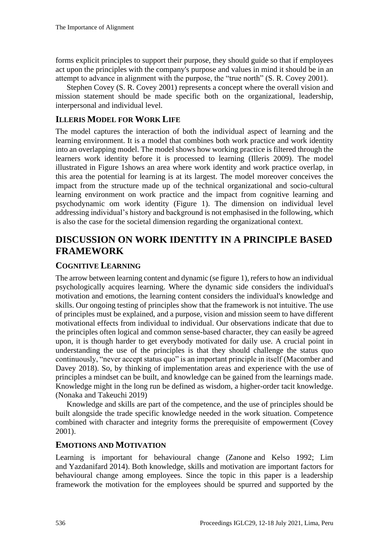forms explicit principles to support their purpose, they should guide so that if employees act upon the principles with the company's purpose and values in mind it should be in an attempt to advance in alignment with the purpose, the "true north" [\(S. R. Covey 2001\).](https://paperpile.com/c/dkXo2D/7L6Yp)

Stephen Covey [\(S. R. Covey 2001\)](https://paperpile.com/c/dkXo2D/7L6Yp) represents a concept where the overall vision and mission statement should be made specific both on the organizational, leadership, interpersonal and individual level.

### **ILLERIS MODEL FOR WORK LIFE**

The model captures the interaction of both the individual aspect of learning and the learning environment. It is a model that combines both work practice and work identity into an overlapping model. The model shows how working practice is filtered through the learners work identity before it is processed to learning [\(Illeris](https://paperpile.com/c/dkXo2D/43BcQ) 2009). The model illustrated in Figure 1shows an area where work identity and work practice overlap, in this area the potential for learning is at its largest. The model moreover conceives the impact from the structure made up of the technical organizational and socio-cultural learning environment on work practice and the impact from cognitive learning and psychodynamic om work identity (Figure 1). The dimension on individual level addressing individual's history and background is not emphasised in the following, which is also the case for the societal dimension regarding the organizational context.

### **DISCUSSION ON WORK IDENTITY IN A PRINCIPLE BASED FRAMEWORK**

#### **COGNITIVE LEARNING**

The arrow between learning content and dynamic (se figure 1), refers to how an individual psychologically acquires learning. Where the dynamic side considers the individual's motivation and emotions, the learning content considers the individual's knowledge and skills. Our ongoing testing of principles show that the framework is not intuitive. The use of principles must be explained, and a purpose, vision and mission seem to have different motivational effects from individual to individual. Our observations indicate that due to the principles often logical and common sense-based character, they can easily be agreed upon, it is though harder to get everybody motivated for daily use. A crucial point in understanding the use of the principles is that they should challenge the status quo continuously, "never accept status quo" is an important principle in itself [\(Macomber and](https://paperpile.com/c/dkXo2D/fPRpS)  [Davey 2018\).](https://paperpile.com/c/dkXo2D/fPRpS) So, by thinking of implementation areas and experience with the use of principles a mindset can be built, and knowledge can be gained from the learnings made. Knowledge might in the long run be defined as wisdom, a higher-order tacit knowledge. [\(Nonaka and Takeuchi 2019\)](https://paperpile.com/c/dkXo2D/sB4RE)

Knowledge and skills are part of the competence, and the use of principles should be built alongside the trade specific knowledge needed in the work situation. Competence combined with character and integrity forms the prerequisite of empowerment (Covey 2001).

#### **EMOTIONS AND MOTIVATION**

Learning is important for behavioural change (Zanone [and Kelso 1992; Lim](https://paperpile.com/c/dkXo2D/KLcPz+AhqJN)  and [Yazdanifard](https://paperpile.com/c/dkXo2D/KLcPz+AhqJN) 2014). Both knowledge, skills and motivation are important factors for behavioural change among employees. Since the topic in this paper is a leadership framework the motivation for the employees should be spurred and supported by the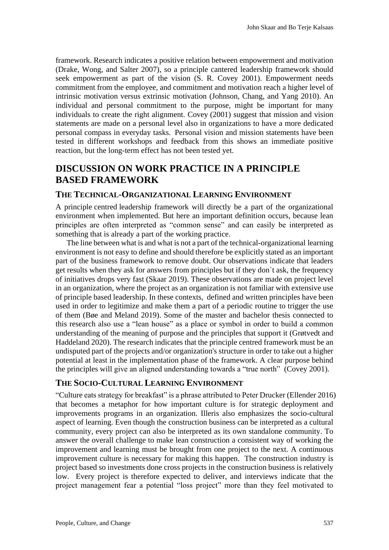framework. Research indicates a positive relation between empowerment and motivation [\(Drake, Wong, and Salter 2007\),](https://paperpile.com/c/dkXo2D/EzpAw) so a principle cantered leadership framework should seek empowerment as part of the vision [\(S. R. Covey 2001\).](https://paperpile.com/c/dkXo2D/7L6Yp) Empowerment needs commitment from the employee, and commitment and motivation reach a higher level of intrinsic motivation versus extrinsic motivation [\(Johnson, Chang, and Yang 2010\).](https://paperpile.com/c/dkXo2D/jtzs) An individual and personal commitment to the purpose, might be important for many individuals to create the right alignment. Covey [\(2001\)](https://paperpile.com/c/dkXo2D/7L6Yp) suggest that mission and vision statements are made on a personal level also in organizations to have a more dedicated personal compass in everyday tasks. Personal vision and mission statements have been tested in different workshops and feedback from this shows an immediate positive reaction, but the long-term effect has not been tested yet.

# **DISCUSSION ON WORK PRACTICE IN A PRINCIPLE BASED FRAMEWORK**

#### **THE TECHNICAL-ORGANIZATIONAL LEARNING ENVIRONMENT**

A principle centred leadership framework will directly be a part of the organizational environment when implemented. But here an important definition occurs, because lean principles are often interpreted as "common sense" and can easily be interpreted as something that is already a part of the working practice.

The line between what is and what is not a part of the technical-organizational learning environment is not easy to define and should therefore be explicitly stated as an important part of the business framework to remove doubt. Our observations indicate that leaders get results when they ask for answers from principles but if they don`t ask, the frequency of initiatives drops very fast [\(Skaar 2019\).](https://paperpile.com/c/dkXo2D/2yfXH) These observations are made on project level in an organization, where the project as an organization is not familiar with extensive use of principle based leadership. In these contexts, defined and written principles have been used in order to legitimize and make them a part of a periodic routine to trigger the use of them [\(Bøe and Meland 2019\).](https://paperpile.com/c/dkXo2D/1epyQ) Some of the master and bachelor thesis connected to this research also use a "lean house" as a place or symbol in order to build a common understanding of the meaning of purpose and the principles that support it [\(Grøtvedt and](https://paperpile.com/c/dkXo2D/yeONp)  [Haddeland 2020\).](https://paperpile.com/c/dkXo2D/yeONp) The research indicates that the principle centred framework must be an undisputed part of the projects and/or organization's structure in order to take out a higher potential at least in the implementation phase of the framework. A clear purpose behind the principles will give an aligned understanding towards a "true north" [\(Covey 2001\).](https://paperpile.com/c/dkXo2D/7L6Yp)

### **THE SOCIO-CULTURAL LEARNING ENVIRONMENT**

"Culture eats strategy for breakfast" is a phrase attributed to Peter Drucker (Ellender 2016) that becomes a metaphor for how important culture is for strategic deployment and improvements programs in an organization. Illeris also emphasizes the socio-cultural aspect of learning. Even though the construction business can be interpreted as a cultural community, every project can also be interpreted as its own standalone community. To answer the overall challenge to make lean construction a consistent way of working the improvement and learning must be brought from one project to the next. A continuous improvement culture is necessary for making this happen. The construction industry is project based so investments done cross projects in the construction business is relatively low. Every project is therefore expected to deliver, and interviews indicate that the project management fear a potential "loss project" more than they feel motivated to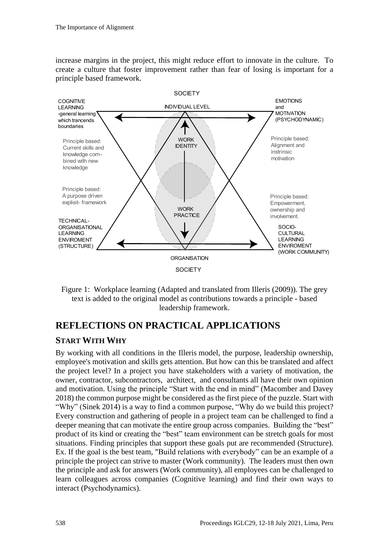increase margins in the project, this might reduce effort to innovate in the culture. To create a culture that foster improvement rather than fear of losing is important for a principle based framework.



Figure 1: Workplace learning (Adapted and translated from Illeris (2009)). The grey text is added to the original model as contributions towards a principle - based leadership framework.

# **REFLECTIONS ON PRACTICAL APPLICATIONS**

### **START WITH WHY**

By working with all conditions in the Illeris model, the purpose, leadership ownership, employee's motivation and skills gets attention. But how can this be translated and affect the project level? In a project you have stakeholders with a variety of motivation, the owner, contractor, subcontractors, architect, and consultants all have their own opinion and motivation. Using the principle "Start with the end in mind" [\(Macomber and Davey](https://paperpile.com/c/dkXo2D/fPRpS)  [2018\)](https://paperpile.com/c/dkXo2D/fPRpS) the common purpose might be considered as the first piece of the puzzle. Start with "Why" (Sinek 2014) is a way to find a common purpose, "Why do we build this project? Every construction and gathering of people in a project team can be challenged to find a deeper meaning that can motivate the entire group across companies. Building the "best" product of its kind or creating the "best" team environment can be stretch goals for most situations. Finding principles that support these goals put are recommended (Structure). Ex. If the goal is the best team, "Build relations with everybody" can be an example of a principle the project can strive to master (Work community). The leaders must then own the principle and ask for answers (Work community), all employees can be challenged to learn colleagues across companies (Cognitive learning) and find their own ways to interact (Psychodynamics).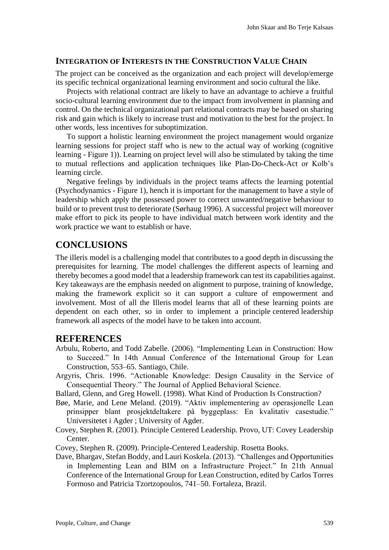#### **INTEGRATION OF INTERESTS IN THE CONSTRUCTION VALUE CHAIN**

The project can be conceived as the organization and each project will develop/emerge its specific technical organizational learning environment and socio cultural the like.

Projects with relational contract are likely to have an advantage to achieve a fruitful socio-cultural learning environment due to the impact from involvement in planning and control. On the technical organizational part relational contracts may be based on sharing risk and gain which is likely to increase trust and motivation to the best for the project. In other words, less incentives for suboptimization.

To support a holistic learning environment the project management would organize learning sessions for project staff who is new to the actual way of working (cognitive learning - Figure 1)). Learning on project level will also be stimulated by taking the time to mutual reflections and application techniques like Plan-Do-Check-Act or Kolb's learning circle.

Negative feelings by individuals in the project teams affects the learning potential (Psychodynamics - Figure 1), hench it is important for the management to have a style of leadership which apply the possessed power to correct unwanted/negative behaviour to build or to prevent trust to deteriorate [\(Sørhaug 1996\).](https://paperpile.com/c/iijFIf/0p00) A successful project will moreover make effort to pick its people to have individual match between work identity and the work practice we want to establish or have.

### **CONCLUSIONS**

The illeris model is a challenging model that contributes to a good depth in discussing the prerequisites for learning. The model challenges the different aspects of learning and thereby becomes a good model that a leadership framework can test its capabilities against. Key takeaways are the emphasis needed on alignment to purpose, training of knowledge, making the framework explicit so it can support a culture of empowerment and involvement. Most of all the Illeris model learns that all of these learning points are dependent on each other, so in order to implement a principle centered leadership framework all aspects of the model have to be taken into account.

### **REFERENCES**

- [Arbulu, Roberto, and Todd Zabelle. \(2006\). "Implementing Lean in Construction: How](http://paperpile.com/b/iijFIf/ovcXz)  [to Succeed." In 14th Annual Conference of the International Group for Lean](http://paperpile.com/b/iijFIf/ovcXz)  [Construction, 553–65. Santiago, Chile.](http://paperpile.com/b/iijFIf/ovcXz)
- [Argyris, Chris. 1996. "Actionable Knowledge: Design Causality in the Service of](http://paperpile.com/b/iijFIf/qH5Mg)  [Consequential Theory." The Journal of Applied Behavioral Science.](http://paperpile.com/b/iijFIf/qH5Mg)

Ballard, Glenn, [and Greg Howell. \(1998\). What Kind of Production Is Construction?](http://paperpile.com/b/iijFIf/lZXz7)

- Bøe, Marie, and Lene Meland. (2019). "Aktiv implementering av operasjonelle Lean prinsipper blant prosjektdeltakere på byggeplass: En kvalitativ casestudie." Universitetet i Agder ; University of Agder.
- Covey, Stephen [R. \(2001\). Principle Centered Leadership. Provo, UT: Covey Leadership](http://paperpile.com/b/iijFIf/ENAgZ)  [Center.](http://paperpile.com/b/iijFIf/ENAgZ)
- [Covey, Stephen R. \(2009\). Principle-Centered Leadership. Rosetta Books.](http://paperpile.com/b/iijFIf/m5Yaf)
- Dave, Bhargav, Stefan Boddy, and Lauri Koskela. (2013). "Challenges and Opportunities in Implementing Lean and BIM on a Infrastructure Project." In 21th Annual Conference of the International Group for Lean Construction, edited by Carlos Torres Formoso and Patricia Tzortzopoulos, 741–50. Fortaleza, Brazil.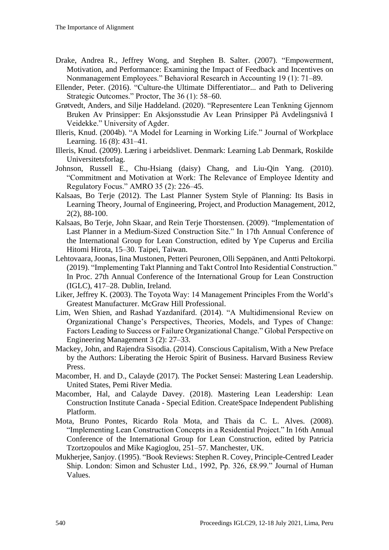- [Drake, Andrea R., Jeffrey Wong, and Stephen B. Salter. \(2007\). "Empowerment,](http://paperpile.com/b/iijFIf/lv1ni)  [Motivation, and Performance: Examining the Impact of Feedback and Incentives on](http://paperpile.com/b/iijFIf/lv1ni)  [Nonmanagement Employees." Behavioral Research in Accounting 19 \(1\): 71–89.](http://paperpile.com/b/iijFIf/lv1ni)
- [Ellender, Peter. \(2016\). "Culture-the Ultimate Differentiator... and Path to Delivering](http://paperpile.com/b/iijFIf/KLZpR)  [Strategic Outcomes." Proctor, The 36 \(1\): 58–60.](http://paperpile.com/b/iijFIf/KLZpR)
- Grøtvedt, Anders, and Silje Haddeland. (2020). "Representere Lean Tenkning Gjennom Bruken Av Prinsipper: En Aksjonsstudie Av Lean Prinsipper På Avdelingsnivå I Veidekke." University of Agder.
- [Illeris, Knud. \(2004b\). "A Model for Learning in Working Life." Journal of Workplace](http://paperpile.com/b/iijFIf/6Lf1a)  [Learning.](http://paperpile.com/b/iijFIf/6Lf1a) [16 \(8\): 431–41.](http://paperpile.com/b/iijFIf/Gvs4z)
- Illeris, Knud. (2009). Læring i arbeidslivet. Denmark: Learning Lab Denmark, Roskilde Universitetsforlag.
- [Johnson, Russell E., Chu-Hsiang \(daisy\) Chang, and Liu-Qin Yang. \(2010\).](http://paperpile.com/b/iijFIf/LuFRG)  ["Commitment and Motivation at Work: The Relevance of Employee Identity and](http://paperpile.com/b/iijFIf/LuFRG)  [Regulatory Focus." AMRO 35 \(2\): 226–45.](http://paperpile.com/b/iijFIf/LuFRG)
- Kalsaas, Bo Terje (2012). The Last Planner System Style of Planning: Its Basis in Learning Theory, Journal of Engineering, Project, and Production Management, 2012, 2(2), 88-100.
- Kalsaas, Bo Terje, John Skaar, and Rein Terje Thorstensen. (2009). "Implementation of Last Planner in a Medium-Sized Construction Site." In 17th Annual Conference of the International Group for Lean Construction, edited by Ype Cuperus and Ercilia Hitomi Hirota, 15–30. Taipei, Taiwan.
- Lehtovaara, Joonas, Iina Mustonen, Petteri Peuronen, Olli Seppänen, and Antti Peltokorpi. (2019). "Implementing Takt Planning and Takt Control Into Residential Construction." In Proc. 27th Annual Conference of the International Group for Lean Construction (IGLC), 417–28. Dublin, Ireland.
- Liker, Jeffrey K. (2003). The Toyota Way: 14 Management Principles From the World's Greatest Manufacturer. McGraw Hill Professional.
- [Lim, Wen Shien, and Rashad Yazdanifard. \(2014\). "A Multidimensional Review on](http://paperpile.com/b/iijFIf/qHl8p)  [Organizational Change's Perspectives, Theories, Models, and Types of Change:](http://paperpile.com/b/iijFIf/qHl8p)  [Factors Leading to Success or Failure Organizational Change." Global Perspective on](http://paperpile.com/b/iijFIf/qHl8p)  [Engineering Management 3 \(2\): 27–33.](http://paperpile.com/b/iijFIf/qHl8p)
- Mackey, John, and Rajendra Sisodia. (2014). Conscious Capitalism, With a New Preface by the Authors: Liberating the Heroic Spirit of Business. Harvard Business Review Press.
- Macomber, H. and D., Calayde (2017). The Pocket Sensei: Mastering Lean Leadership. United States, Pemi River Media.
- Macomber, Hal, and Calayde Davey. (2018). Mastering Lean Leadership: Lean Construction Institute Canada - Special Edition. CreateSpace Independent Publishing Platform.
- [Mota, Bruno Pontes, Ricardo Rola Mota, and Thais da C. L. Alves. \(2008\).](http://paperpile.com/b/iijFIf/Liymq)  ["Implementing Lean Construction Concepts in a Residential Project." In 16th Annual](http://paperpile.com/b/iijFIf/Liymq)  [Conference of the International Group for Lean Construction, edited by Patricia](http://paperpile.com/b/iijFIf/Liymq)  [Tzortzopoulos and Mike Kagioglou, 251–57. Manchester, UK.](http://paperpile.com/b/iijFIf/Liymq)
- Mukherjee, Sanjoy. (1995). "Book Reviews: Stephen R. Covey, Principle-Centred Leader Ship. London: Simon and Schuster Ltd., 1992, Pp. 326, £8.99." Journal of Human Values.